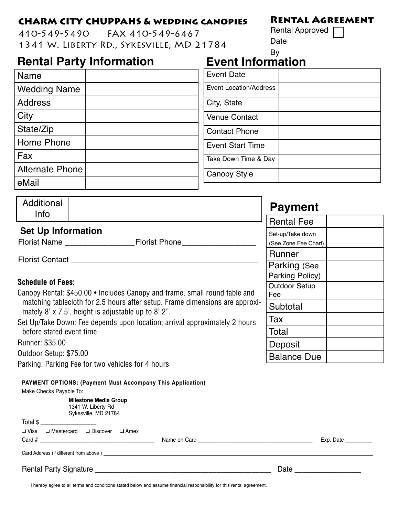## **CHARM CITY CHUPPAHS & wedding canopies**

410-549-5490 FAX 410-549-6467 1341 W. Liberty Rd., Sykesville, MD 21784

## **Rental Party Information**

| <b>Name</b>         | <b>Event Date</b>             |
|---------------------|-------------------------------|
| <b>Wedding Name</b> | <b>Event Location/Address</b> |
| <b>Address</b>      | City, State                   |
| City                | <b>Venue Contact</b>          |
| State/Zip           | <b>Contact Phone</b>          |
| Home Phone          | <b>Event Start Time</b>       |
| Fax                 | Take Down Time & Day          |
| Alternate Phone     | <b>Canopy Style</b>           |
| eMail               |                               |

| Additional<br><b>Info</b>                                                                                                                                                                                                                                                                                                                                    |                                                                   | <b>Payment</b>                           |
|--------------------------------------------------------------------------------------------------------------------------------------------------------------------------------------------------------------------------------------------------------------------------------------------------------------------------------------------------------------|-------------------------------------------------------------------|------------------------------------------|
|                                                                                                                                                                                                                                                                                                                                                              |                                                                   | <b>Rental Fee</b>                        |
| <b>Set Up Information</b>                                                                                                                                                                                                                                                                                                                                    | Florist Name Florist Phone                                        | Set-up/Take down<br>(See Zone Fee Chart) |
| <b>Florist Contact</b><br><b>Schedule of Fees:</b><br>Canopy Rental: \$450.00 • Includes Canopy and frame, small round table and<br>matching tablecloth for 2.5 hours after setup. Frame dimensions are approxi-<br>mately 8' $\times$ 7.5', height is adjustable up to 8' 2".<br>Set Up/Take Down: Fee depends upon location; arrival approximately 2 hours |                                                                   | <b>Runner</b>                            |
|                                                                                                                                                                                                                                                                                                                                                              |                                                                   | Parking (See<br>Parking Policy)          |
|                                                                                                                                                                                                                                                                                                                                                              |                                                                   | Outdoor Setup<br>Fee                     |
|                                                                                                                                                                                                                                                                                                                                                              |                                                                   | Subtotal                                 |
|                                                                                                                                                                                                                                                                                                                                                              |                                                                   | Tax                                      |
| before stated event time                                                                                                                                                                                                                                                                                                                                     |                                                                   | Total                                    |
| Runner: \$35.00                                                                                                                                                                                                                                                                                                                                              |                                                                   | Deposit                                  |
| Outdoor Setup: \$75.00                                                                                                                                                                                                                                                                                                                                       |                                                                   | <b>Balance Due</b>                       |
|                                                                                                                                                                                                                                                                                                                                                              | Parking: Parking Fee for two vehicles for 4 hours                 |                                          |
|                                                                                                                                                                                                                                                                                                                                                              | <b>PAYMENT OPTIONS: (Payment Must Accompany This Application)</b> |                                          |

Make Checks Payable To: **Milestone Media Group** 1341 W. Liberty Rd Sykesville, MD 21784 Total \$ ❑ Visa ❑ Mastercard ❑ Discover ❑ Amex Card # \_\_\_\_\_\_\_\_\_\_\_\_\_\_\_\_\_\_\_\_\_\_\_\_\_\_\_\_\_\_\_\_\_\_\_\_\_\_\_ Name on Card \_\_\_\_\_\_\_\_\_\_\_\_\_\_\_\_\_\_\_\_\_\_\_\_\_\_\_\_\_\_\_\_\_\_\_\_\_\_\_ Exp. Date \_\_\_\_\_\_\_\_\_ Card Address (if different from above ) Rental Party Signature \_\_\_\_\_\_\_\_\_\_\_\_\_\_\_\_\_\_\_\_\_\_\_\_\_\_\_\_\_\_\_\_\_\_\_\_\_\_\_\_\_\_\_\_\_ Date \_\_\_\_\_\_\_\_\_\_\_\_\_\_\_\_\_

I hereby agree to all terms and conditions stated below and assume financial responsibility for this rental agreement.

## **Event Information** By

|  | <b>RENTAL AGREEMENT</b> |
|--|-------------------------|
|  |                         |

Rental Approved